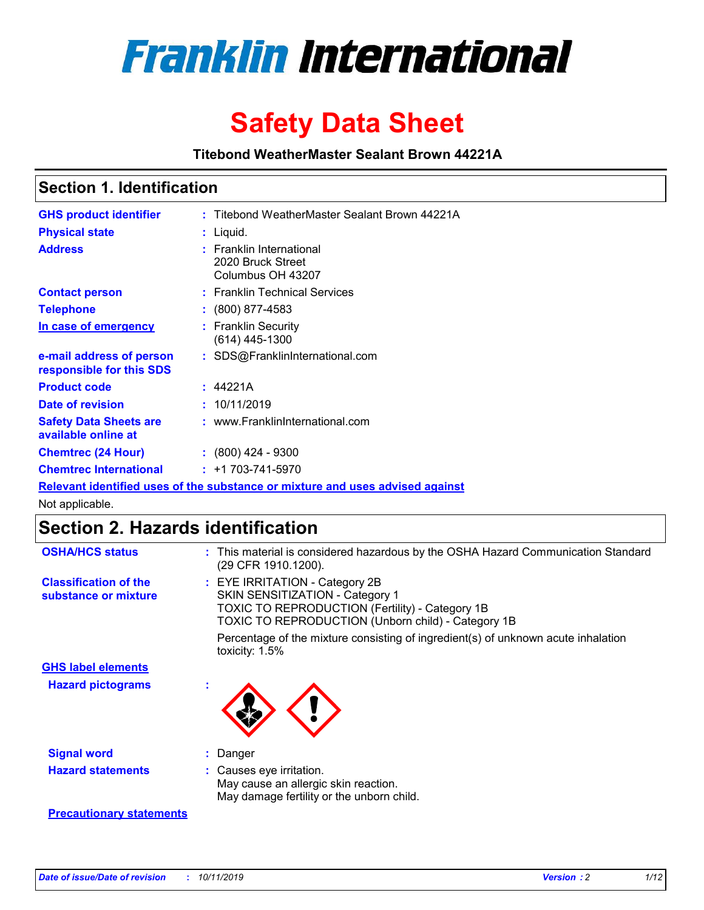

# **Safety Data Sheet**

**Titebond WeatherMaster Sealant Brown 44221A**

### **Section 1. Identification**

| <b>GHS product identifier</b>                        | : Titebond WeatherMaster Sealant Brown 44221A                                 |
|------------------------------------------------------|-------------------------------------------------------------------------------|
| <b>Physical state</b>                                | : Liquid.                                                                     |
| <b>Address</b>                                       | : Franklin International<br>2020 Bruck Street<br>Columbus OH 43207            |
| <b>Contact person</b>                                | : Franklin Technical Services                                                 |
| <b>Telephone</b>                                     | $\colon$ (800) 877-4583                                                       |
| In case of emergency                                 | : Franklin Security<br>$(614)$ 445-1300                                       |
| e-mail address of person<br>responsible for this SDS | : SDS@FranklinInternational.com                                               |
| <b>Product code</b>                                  | : 44221A                                                                      |
| Date of revision                                     | : 10/11/2019                                                                  |
| <b>Safety Data Sheets are</b><br>available online at | : www.FranklinInternational.com                                               |
| <b>Chemtrec (24 Hour)</b>                            | $: (800)$ 424 - 9300                                                          |
| <b>Chemtrec International</b>                        | $: +1703 - 741 - 5970$                                                        |
|                                                      | Relevant identified uses of the substance or mixture and uses advised against |

Not applicable.

## **Section 2. Hazards identification**

| <b>OSHA/HCS status</b>                               | : This material is considered hazardous by the OSHA Hazard Communication Standard<br>(29 CFR 1910.1200).                                                                                 |
|------------------------------------------------------|------------------------------------------------------------------------------------------------------------------------------------------------------------------------------------------|
| <b>Classification of the</b><br>substance or mixture | : EYE IRRITATION - Category 2B<br>SKIN SENSITIZATION - Category 1<br><b>TOXIC TO REPRODUCTION (Fertility) - Category 1B</b><br><b>TOXIC TO REPRODUCTION (Unborn child) - Category 1B</b> |
|                                                      | Percentage of the mixture consisting of ingredient(s) of unknown acute inhalation<br>toxicity: $1.5\%$                                                                                   |
| <b>GHS label elements</b>                            |                                                                                                                                                                                          |
| <b>Hazard pictograms</b>                             |                                                                                                                                                                                          |
| <b>Signal word</b>                                   | : Danger                                                                                                                                                                                 |
| <b>Hazard statements</b>                             | : Causes eye irritation.<br>May cause an allergic skin reaction.<br>May damage fertility or the unborn child.                                                                            |
| <b>Precautionary statements</b>                      |                                                                                                                                                                                          |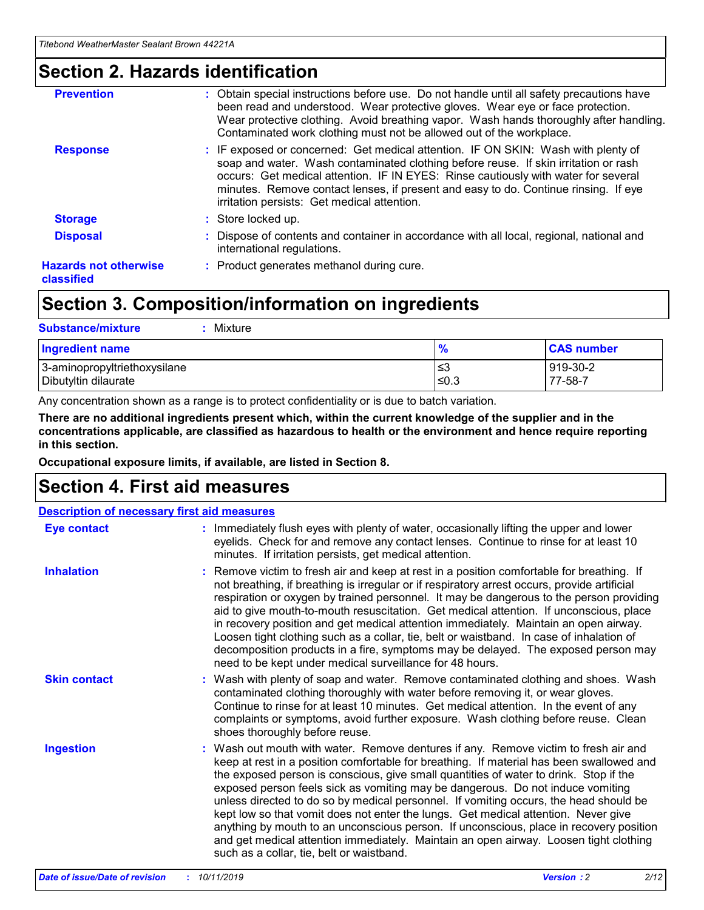### **Section 2. Hazards identification**

| <b>Prevention</b>                          | : Obtain special instructions before use. Do not handle until all safety precautions have<br>been read and understood. Wear protective gloves. Wear eye or face protection.<br>Wear protective clothing. Avoid breathing vapor. Wash hands thoroughly after handling.<br>Contaminated work clothing must not be allowed out of the workplace.                                                        |
|--------------------------------------------|------------------------------------------------------------------------------------------------------------------------------------------------------------------------------------------------------------------------------------------------------------------------------------------------------------------------------------------------------------------------------------------------------|
| <b>Response</b>                            | : IF exposed or concerned: Get medical attention. IF ON SKIN: Wash with plenty of<br>soap and water. Wash contaminated clothing before reuse. If skin irritation or rash<br>occurs: Get medical attention. IF IN EYES: Rinse cautiously with water for several<br>minutes. Remove contact lenses, if present and easy to do. Continue rinsing. If eye<br>irritation persists: Get medical attention. |
| <b>Storage</b>                             | : Store locked up.                                                                                                                                                                                                                                                                                                                                                                                   |
| <b>Disposal</b>                            | : Dispose of contents and container in accordance with all local, regional, national and<br>international regulations.                                                                                                                                                                                                                                                                               |
| <b>Hazards not otherwise</b><br>classified | : Product generates methanol during cure.                                                                                                                                                                                                                                                                                                                                                            |
|                                            |                                                                                                                                                                                                                                                                                                                                                                                                      |

### **Section 3. Composition/information on ingredients**

| <b>Substance/mixture</b><br>: Mixture                |               |                     |
|------------------------------------------------------|---------------|---------------------|
| Ingredient name                                      | $\frac{9}{6}$ | <b>CAS number</b>   |
| 3-aminopropyltriethoxysilane<br>Dibutyltin dilaurate | צ≥<br>≤0.3    | 919-30-2<br>77-58-7 |

Any concentration shown as a range is to protect confidentiality or is due to batch variation.

**There are no additional ingredients present which, within the current knowledge of the supplier and in the concentrations applicable, are classified as hazardous to health or the environment and hence require reporting in this section.**

**Occupational exposure limits, if available, are listed in Section 8.**

### **Section 4. First aid measures**

| <b>Description of necessary first aid measures</b> |                                                                                                                                                                                                                                                                                                                                                                                                                                                                                                                                                                                                                                                                                                                                                                           |  |  |  |
|----------------------------------------------------|---------------------------------------------------------------------------------------------------------------------------------------------------------------------------------------------------------------------------------------------------------------------------------------------------------------------------------------------------------------------------------------------------------------------------------------------------------------------------------------------------------------------------------------------------------------------------------------------------------------------------------------------------------------------------------------------------------------------------------------------------------------------------|--|--|--|
| <b>Eye contact</b>                                 | : Immediately flush eyes with plenty of water, occasionally lifting the upper and lower<br>eyelids. Check for and remove any contact lenses. Continue to rinse for at least 10<br>minutes. If irritation persists, get medical attention.                                                                                                                                                                                                                                                                                                                                                                                                                                                                                                                                 |  |  |  |
| <b>Inhalation</b>                                  | : Remove victim to fresh air and keep at rest in a position comfortable for breathing. If<br>not breathing, if breathing is irregular or if respiratory arrest occurs, provide artificial<br>respiration or oxygen by trained personnel. It may be dangerous to the person providing<br>aid to give mouth-to-mouth resuscitation. Get medical attention. If unconscious, place<br>in recovery position and get medical attention immediately. Maintain an open airway.<br>Loosen tight clothing such as a collar, tie, belt or waistband. In case of inhalation of<br>decomposition products in a fire, symptoms may be delayed. The exposed person may<br>need to be kept under medical surveillance for 48 hours.                                                       |  |  |  |
| <b>Skin contact</b>                                | : Wash with plenty of soap and water. Remove contaminated clothing and shoes. Wash<br>contaminated clothing thoroughly with water before removing it, or wear gloves.<br>Continue to rinse for at least 10 minutes. Get medical attention. In the event of any<br>complaints or symptoms, avoid further exposure. Wash clothing before reuse. Clean<br>shoes thoroughly before reuse.                                                                                                                                                                                                                                                                                                                                                                                     |  |  |  |
| <b>Ingestion</b>                                   | : Wash out mouth with water. Remove dentures if any. Remove victim to fresh air and<br>keep at rest in a position comfortable for breathing. If material has been swallowed and<br>the exposed person is conscious, give small quantities of water to drink. Stop if the<br>exposed person feels sick as vomiting may be dangerous. Do not induce vomiting<br>unless directed to do so by medical personnel. If vomiting occurs, the head should be<br>kept low so that vomit does not enter the lungs. Get medical attention. Never give<br>anything by mouth to an unconscious person. If unconscious, place in recovery position<br>and get medical attention immediately. Maintain an open airway. Loosen tight clothing<br>such as a collar, tie, belt or waistband. |  |  |  |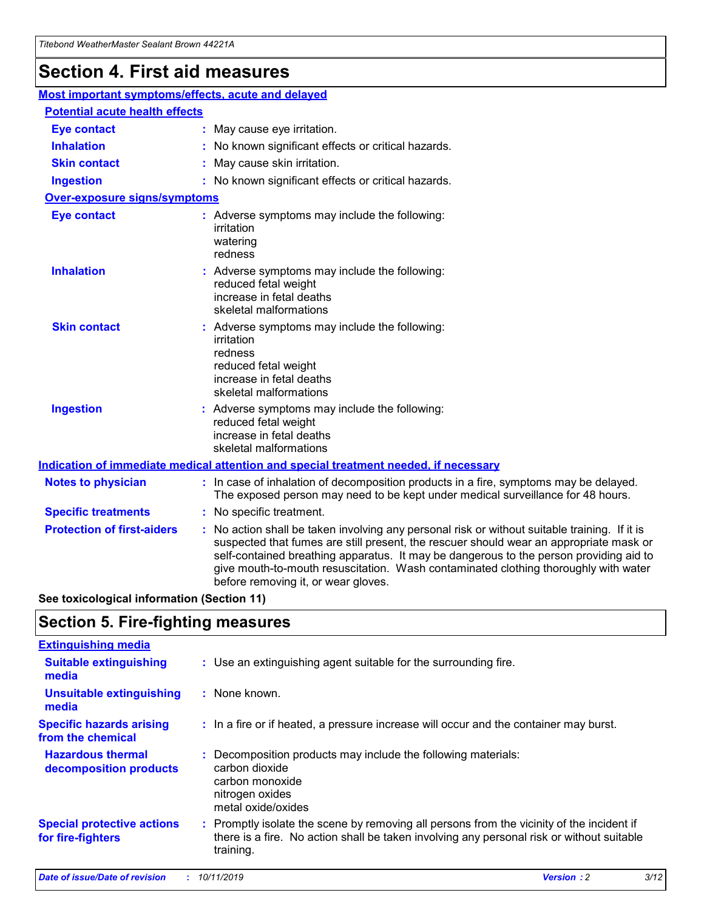## **Section 4. First aid measures**

| Most important symptoms/effects, acute and delayed |                                                                                                                                                                                                                                                                                                                                                                                                                 |
|----------------------------------------------------|-----------------------------------------------------------------------------------------------------------------------------------------------------------------------------------------------------------------------------------------------------------------------------------------------------------------------------------------------------------------------------------------------------------------|
| <b>Potential acute health effects</b>              |                                                                                                                                                                                                                                                                                                                                                                                                                 |
| <b>Eye contact</b>                                 | : May cause eye irritation.                                                                                                                                                                                                                                                                                                                                                                                     |
| <b>Inhalation</b>                                  | : No known significant effects or critical hazards.                                                                                                                                                                                                                                                                                                                                                             |
| <b>Skin contact</b>                                | : May cause skin irritation.                                                                                                                                                                                                                                                                                                                                                                                    |
| <b>Ingestion</b>                                   | : No known significant effects or critical hazards.                                                                                                                                                                                                                                                                                                                                                             |
| <b>Over-exposure signs/symptoms</b>                |                                                                                                                                                                                                                                                                                                                                                                                                                 |
| <b>Eye contact</b>                                 | : Adverse symptoms may include the following:<br>irritation<br>watering<br>redness                                                                                                                                                                                                                                                                                                                              |
| <b>Inhalation</b>                                  | : Adverse symptoms may include the following:<br>reduced fetal weight<br>increase in fetal deaths<br>skeletal malformations                                                                                                                                                                                                                                                                                     |
| <b>Skin contact</b>                                | : Adverse symptoms may include the following:<br>irritation<br>redness<br>reduced fetal weight<br>increase in fetal deaths<br>skeletal malformations                                                                                                                                                                                                                                                            |
| <b>Ingestion</b>                                   | : Adverse symptoms may include the following:<br>reduced fetal weight<br>increase in fetal deaths<br>skeletal malformations                                                                                                                                                                                                                                                                                     |
|                                                    | <b>Indication of immediate medical attention and special treatment needed, if necessary</b>                                                                                                                                                                                                                                                                                                                     |
| <b>Notes to physician</b>                          | : In case of inhalation of decomposition products in a fire, symptoms may be delayed.<br>The exposed person may need to be kept under medical surveillance for 48 hours.                                                                                                                                                                                                                                        |
| <b>Specific treatments</b>                         | : No specific treatment.                                                                                                                                                                                                                                                                                                                                                                                        |
| <b>Protection of first-aiders</b>                  | : No action shall be taken involving any personal risk or without suitable training. If it is<br>suspected that fumes are still present, the rescuer should wear an appropriate mask or<br>self-contained breathing apparatus. It may be dangerous to the person providing aid to<br>give mouth-to-mouth resuscitation. Wash contaminated clothing thoroughly with water<br>before removing it, or wear gloves. |

**See toxicological information (Section 11)**

### **Section 5. Fire-fighting measures**

| <b>Extinguishing media</b>                             |                                                                                                                                                                                                     |
|--------------------------------------------------------|-----------------------------------------------------------------------------------------------------------------------------------------------------------------------------------------------------|
| <b>Suitable extinguishing</b><br>media                 | : Use an extinguishing agent suitable for the surrounding fire.                                                                                                                                     |
| <b>Unsuitable extinguishing</b><br>media               | : None known.                                                                                                                                                                                       |
| <b>Specific hazards arising</b><br>from the chemical   | : In a fire or if heated, a pressure increase will occur and the container may burst.                                                                                                               |
| <b>Hazardous thermal</b><br>decomposition products     | : Decomposition products may include the following materials:<br>carbon dioxide<br>carbon monoxide<br>nitrogen oxides<br>metal oxide/oxides                                                         |
| <b>Special protective actions</b><br>for fire-fighters | : Promptly isolate the scene by removing all persons from the vicinity of the incident if<br>there is a fire. No action shall be taken involving any personal risk or without suitable<br>training. |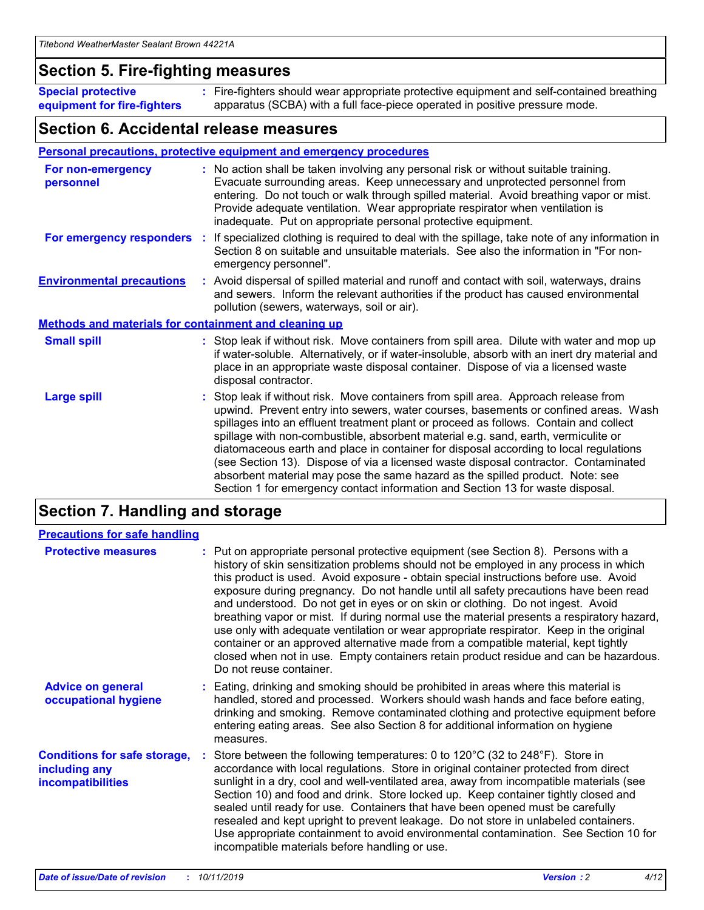### **Section 5. Fire-fighting measures**

**Special protective equipment for fire-fighters** Fire-fighters should wear appropriate protective equipment and self-contained breathing **:** apparatus (SCBA) with a full face-piece operated in positive pressure mode.

### **Section 6. Accidental release measures**

#### **Personal precautions, protective equipment and emergency procedures**

| For non-emergency<br>personnel   |                                                              | : No action shall be taken involving any personal risk or without suitable training.<br>Evacuate surrounding areas. Keep unnecessary and unprotected personnel from<br>entering. Do not touch or walk through spilled material. Avoid breathing vapor or mist.<br>Provide adequate ventilation. Wear appropriate respirator when ventilation is<br>inadequate. Put on appropriate personal protective equipment.                                                                                                                                                                                                                                                                                             |  |  |  |
|----------------------------------|--------------------------------------------------------------|--------------------------------------------------------------------------------------------------------------------------------------------------------------------------------------------------------------------------------------------------------------------------------------------------------------------------------------------------------------------------------------------------------------------------------------------------------------------------------------------------------------------------------------------------------------------------------------------------------------------------------------------------------------------------------------------------------------|--|--|--|
|                                  |                                                              | For emergency responders : If specialized clothing is required to deal with the spillage, take note of any information in<br>Section 8 on suitable and unsuitable materials. See also the information in "For non-<br>emergency personnel".                                                                                                                                                                                                                                                                                                                                                                                                                                                                  |  |  |  |
| <b>Environmental precautions</b> |                                                              | : Avoid dispersal of spilled material and runoff and contact with soil, waterways, drains<br>and sewers. Inform the relevant authorities if the product has caused environmental<br>pollution (sewers, waterways, soil or air).                                                                                                                                                                                                                                                                                                                                                                                                                                                                              |  |  |  |
|                                  | <b>Methods and materials for containment and cleaning up</b> |                                                                                                                                                                                                                                                                                                                                                                                                                                                                                                                                                                                                                                                                                                              |  |  |  |
| <b>Small spill</b>               |                                                              | : Stop leak if without risk. Move containers from spill area. Dilute with water and mop up<br>if water-soluble. Alternatively, or if water-insoluble, absorb with an inert dry material and<br>place in an appropriate waste disposal container. Dispose of via a licensed waste<br>disposal contractor.                                                                                                                                                                                                                                                                                                                                                                                                     |  |  |  |
| <b>Large spill</b>               |                                                              | : Stop leak if without risk. Move containers from spill area. Approach release from<br>upwind. Prevent entry into sewers, water courses, basements or confined areas. Wash<br>spillages into an effluent treatment plant or proceed as follows. Contain and collect<br>spillage with non-combustible, absorbent material e.g. sand, earth, vermiculite or<br>diatomaceous earth and place in container for disposal according to local regulations<br>(see Section 13). Dispose of via a licensed waste disposal contractor. Contaminated<br>absorbent material may pose the same hazard as the spilled product. Note: see<br>Section 1 for emergency contact information and Section 13 for waste disposal. |  |  |  |

### **Section 7. Handling and storage**

| <b>Precautions for safe handling</b>                                             |                                                                                                                                                                                                                                                                                                                                                                                                                                                                                                                                                                                                                                                                                                                                                                                                                                                  |
|----------------------------------------------------------------------------------|--------------------------------------------------------------------------------------------------------------------------------------------------------------------------------------------------------------------------------------------------------------------------------------------------------------------------------------------------------------------------------------------------------------------------------------------------------------------------------------------------------------------------------------------------------------------------------------------------------------------------------------------------------------------------------------------------------------------------------------------------------------------------------------------------------------------------------------------------|
| <b>Protective measures</b>                                                       | : Put on appropriate personal protective equipment (see Section 8). Persons with a<br>history of skin sensitization problems should not be employed in any process in which<br>this product is used. Avoid exposure - obtain special instructions before use. Avoid<br>exposure during pregnancy. Do not handle until all safety precautions have been read<br>and understood. Do not get in eyes or on skin or clothing. Do not ingest. Avoid<br>breathing vapor or mist. If during normal use the material presents a respiratory hazard,<br>use only with adequate ventilation or wear appropriate respirator. Keep in the original<br>container or an approved alternative made from a compatible material, kept tightly<br>closed when not in use. Empty containers retain product residue and can be hazardous.<br>Do not reuse container. |
| <b>Advice on general</b><br>occupational hygiene                                 | : Eating, drinking and smoking should be prohibited in areas where this material is<br>handled, stored and processed. Workers should wash hands and face before eating,<br>drinking and smoking. Remove contaminated clothing and protective equipment before<br>entering eating areas. See also Section 8 for additional information on hygiene<br>measures.                                                                                                                                                                                                                                                                                                                                                                                                                                                                                    |
| <b>Conditions for safe storage,</b><br>including any<br><b>incompatibilities</b> | Store between the following temperatures: 0 to 120 $\degree$ C (32 to 248 $\degree$ F). Store in<br>accordance with local regulations. Store in original container protected from direct<br>sunlight in a dry, cool and well-ventilated area, away from incompatible materials (see<br>Section 10) and food and drink. Store locked up. Keep container tightly closed and<br>sealed until ready for use. Containers that have been opened must be carefully<br>resealed and kept upright to prevent leakage. Do not store in unlabeled containers.<br>Use appropriate containment to avoid environmental contamination. See Section 10 for<br>incompatible materials before handling or use.                                                                                                                                                     |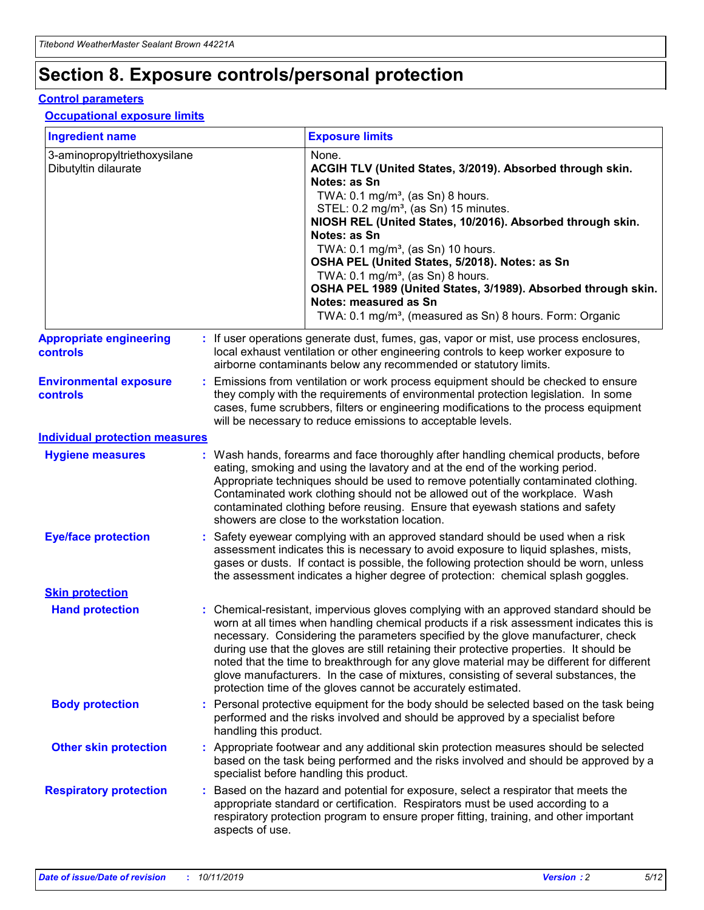## **Section 8. Exposure controls/personal protection**

#### **Control parameters**

#### **Occupational exposure limits**

| <b>Ingredient name</b>                               |    |                                          | <b>Exposure limits</b>                                                                                                                                                                                                                                                                                                                                                                                                                                                                                                                                                                                                 |
|------------------------------------------------------|----|------------------------------------------|------------------------------------------------------------------------------------------------------------------------------------------------------------------------------------------------------------------------------------------------------------------------------------------------------------------------------------------------------------------------------------------------------------------------------------------------------------------------------------------------------------------------------------------------------------------------------------------------------------------------|
| 3-aminopropyltriethoxysilane<br>Dibutyltin dilaurate |    |                                          | None.<br>ACGIH TLV (United States, 3/2019). Absorbed through skin.<br>Notes: as Sn<br>TWA: 0.1 mg/m <sup>3</sup> , (as Sn) 8 hours.<br>STEL: 0.2 mg/m <sup>3</sup> , (as Sn) 15 minutes.<br>NIOSH REL (United States, 10/2016). Absorbed through skin.<br>Notes: as Sn<br>TWA: 0.1 mg/m <sup>3</sup> , (as Sn) 10 hours.<br>OSHA PEL (United States, 5/2018). Notes: as Sn<br>TWA: $0.1 \text{ mg/m}^3$ , (as Sn) 8 hours.<br>OSHA PEL 1989 (United States, 3/1989). Absorbed through skin.<br>Notes: measured as Sn<br>TWA: 0.1 mg/m <sup>3</sup> , (measured as Sn) 8 hours. Form: Organic                           |
| <b>Appropriate engineering</b><br>controls           |    |                                          | : If user operations generate dust, fumes, gas, vapor or mist, use process enclosures,<br>local exhaust ventilation or other engineering controls to keep worker exposure to<br>airborne contaminants below any recommended or statutory limits.                                                                                                                                                                                                                                                                                                                                                                       |
| <b>Environmental exposure</b><br><b>controls</b>     |    |                                          | Emissions from ventilation or work process equipment should be checked to ensure<br>they comply with the requirements of environmental protection legislation. In some<br>cases, fume scrubbers, filters or engineering modifications to the process equipment<br>will be necessary to reduce emissions to acceptable levels.                                                                                                                                                                                                                                                                                          |
| <b>Individual protection measures</b>                |    |                                          |                                                                                                                                                                                                                                                                                                                                                                                                                                                                                                                                                                                                                        |
| <b>Hygiene measures</b>                              |    |                                          | : Wash hands, forearms and face thoroughly after handling chemical products, before<br>eating, smoking and using the lavatory and at the end of the working period.<br>Appropriate techniques should be used to remove potentially contaminated clothing.<br>Contaminated work clothing should not be allowed out of the workplace. Wash<br>contaminated clothing before reusing. Ensure that eyewash stations and safety<br>showers are close to the workstation location.                                                                                                                                            |
| <b>Eye/face protection</b>                           |    |                                          | : Safety eyewear complying with an approved standard should be used when a risk<br>assessment indicates this is necessary to avoid exposure to liquid splashes, mists,<br>gases or dusts. If contact is possible, the following protection should be worn, unless<br>the assessment indicates a higher degree of protection: chemical splash goggles.                                                                                                                                                                                                                                                                  |
| <b>Skin protection</b>                               |    |                                          |                                                                                                                                                                                                                                                                                                                                                                                                                                                                                                                                                                                                                        |
| <b>Hand protection</b>                               |    |                                          | : Chemical-resistant, impervious gloves complying with an approved standard should be<br>worn at all times when handling chemical products if a risk assessment indicates this is<br>necessary. Considering the parameters specified by the glove manufacturer, check<br>during use that the gloves are still retaining their protective properties. It should be<br>noted that the time to breakthrough for any glove material may be different for different<br>glove manufacturers. In the case of mixtures, consisting of several substances, the<br>protection time of the gloves cannot be accurately estimated. |
| <b>Body protection</b>                               |    | handling this product.                   | Personal protective equipment for the body should be selected based on the task being<br>performed and the risks involved and should be approved by a specialist before                                                                                                                                                                                                                                                                                                                                                                                                                                                |
| <b>Other skin protection</b>                         |    | specialist before handling this product. | : Appropriate footwear and any additional skin protection measures should be selected<br>based on the task being performed and the risks involved and should be approved by a                                                                                                                                                                                                                                                                                                                                                                                                                                          |
| <b>Respiratory protection</b>                        | ÷. | aspects of use.                          | Based on the hazard and potential for exposure, select a respirator that meets the<br>appropriate standard or certification. Respirators must be used according to a<br>respiratory protection program to ensure proper fitting, training, and other important                                                                                                                                                                                                                                                                                                                                                         |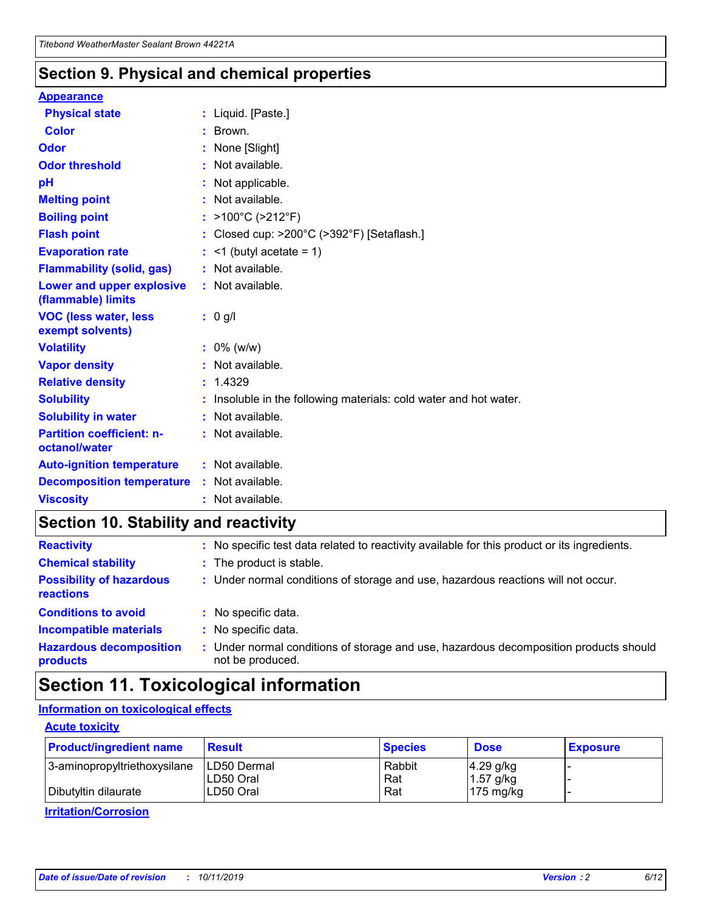### **Section 9. Physical and chemical properties**

#### **Appearance**

| <b>Physical state</b>                             | : Liquid. [Paste.]                                              |
|---------------------------------------------------|-----------------------------------------------------------------|
| Color                                             | $\therefore$ Brown.                                             |
| Odor                                              | : None [Slight]                                                 |
| <b>Odor threshold</b>                             | $:$ Not available.                                              |
| рH                                                | : Not applicable.                                               |
| <b>Melting point</b>                              | : Not available.                                                |
| <b>Boiling point</b>                              | : >100°C (>212°F)                                               |
| <b>Flash point</b>                                | : Closed cup: $>200^{\circ}$ C ( $>392^{\circ}$ F) [Setaflash.] |
| <b>Evaporation rate</b>                           | $:$ <1 (butyl acetate = 1)                                      |
| <b>Flammability (solid, gas)</b>                  | : Not available.                                                |
| Lower and upper explosive<br>(flammable) limits   | : Not available.                                                |
| <b>VOC (less water, less</b><br>exempt solvents)  | $: 0$ g/l                                                       |
|                                                   |                                                                 |
| <b>Volatility</b>                                 | $: 0\%$ (w/w)                                                   |
| <b>Vapor density</b>                              | : Not available.                                                |
| <b>Relative density</b>                           | : 1.4329                                                        |
| <b>Solubility</b>                                 | Insoluble in the following materials: cold water and hot water. |
| <b>Solubility in water</b>                        | : Not available.                                                |
| <b>Partition coefficient: n-</b><br>octanol/water | $:$ Not available.                                              |
| <b>Auto-ignition temperature</b>                  | : Not available.                                                |
| <b>Decomposition temperature</b>                  | : Not available.                                                |

### **Section 10. Stability and reactivity**

| <b>Reactivity</b>                            | : No specific test data related to reactivity available for this product or its ingredients.            |
|----------------------------------------------|---------------------------------------------------------------------------------------------------------|
| <b>Chemical stability</b>                    | : The product is stable.                                                                                |
| <b>Possibility of hazardous</b><br>reactions | : Under normal conditions of storage and use, hazardous reactions will not occur.                       |
| <b>Conditions to avoid</b>                   | : No specific data.                                                                                     |
| <b>Incompatible materials</b>                | : No specific data.                                                                                     |
| <b>Hazardous decomposition</b><br>products   | Under normal conditions of storage and use, hazardous decomposition products should<br>not be produced. |

### **Section 11. Toxicological information**

#### **Information on toxicological effects**

#### **Acute toxicity**

| <b>Product/ingredient name</b> | <b>Result</b>           | <b>Species</b> | <b>Dose</b>                | <b>Exposure</b> |
|--------------------------------|-------------------------|----------------|----------------------------|-----------------|
| 3-aminopropyltriethoxysilane   | <b>ILD50 Dermal</b>     | Rabbit         | 4.29 g/kg                  |                 |
| Dibutyltin dilaurate           | ILD50 Oral<br>LD50 Oral | Rat<br>Rat     | $1.57$ g/kg<br>175 $mg/kg$ |                 |
|                                |                         |                |                            |                 |

**Irritation/Corrosion**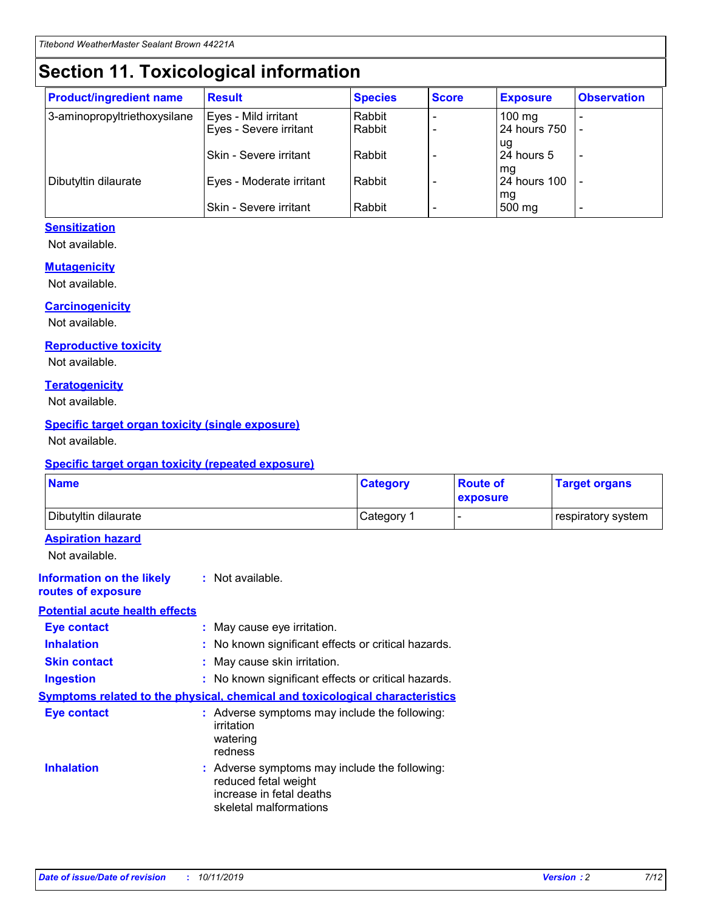## **Section 11. Toxicological information**

| <b>Product/ingredient name</b> | <b>Result</b>                 | <b>Species</b> | <b>Score</b> | <b>Exposure</b>    | <b>Observation</b> |
|--------------------------------|-------------------------------|----------------|--------------|--------------------|--------------------|
| 3-aminopropyltriethoxysilane   | Eyes - Mild irritant          | Rabbit         |              | $100$ mg           |                    |
|                                | Eyes - Severe irritant        | Rabbit         |              | 24 hours 750       |                    |
|                                |                               |                |              | ug                 |                    |
|                                | <b>Skin - Severe irritant</b> | Rabbit         |              | 24 hours 5         | ۰                  |
| Dibutyltin dilaurate           | Eyes - Moderate irritant      | Rabbit         |              | mq<br>24 hours 100 |                    |
|                                |                               |                |              | mg                 |                    |
|                                | Skin - Severe irritant        | Rabbit         |              | 500 mg             |                    |

#### **Sensitization**

Not available.

#### **Mutagenicity**

Not available.

#### **Carcinogenicity**

Not available.

#### **Reproductive toxicity**

Not available.

#### **Teratogenicity**

Not available.

#### **Specific target organ toxicity (single exposure)**

Not available.

#### **Specific target organ toxicity (repeated exposure)**

| <b>Name</b>                                                                         |                                                                            | <b>Category</b>                                     | <b>Route of</b><br>exposure | <b>Target organs</b> |
|-------------------------------------------------------------------------------------|----------------------------------------------------------------------------|-----------------------------------------------------|-----------------------------|----------------------|
| Dibutyltin dilaurate                                                                |                                                                            | Category 1                                          |                             | respiratory system   |
| <b>Aspiration hazard</b><br>Not available.                                          |                                                                            |                                                     |                             |                      |
| <b>Information on the likely</b><br>routes of exposure                              | : Not available.                                                           |                                                     |                             |                      |
| <b>Potential acute health effects</b>                                               |                                                                            |                                                     |                             |                      |
| <b>Eye contact</b>                                                                  | : May cause eye irritation.                                                |                                                     |                             |                      |
| <b>Inhalation</b>                                                                   |                                                                            | : No known significant effects or critical hazards. |                             |                      |
| <b>Skin contact</b>                                                                 | : May cause skin irritation.                                               |                                                     |                             |                      |
| <b>Ingestion</b>                                                                    |                                                                            | : No known significant effects or critical hazards. |                             |                      |
| <b>Symptoms related to the physical, chemical and toxicological characteristics</b> |                                                                            |                                                     |                             |                      |
| <b>Eye contact</b>                                                                  | irritation<br>watering<br>redness                                          | : Adverse symptoms may include the following:       |                             |                      |
| <b>Inhalation</b>                                                                   | reduced fetal weight<br>increase in fetal deaths<br>skeletal malformations | : Adverse symptoms may include the following:       |                             |                      |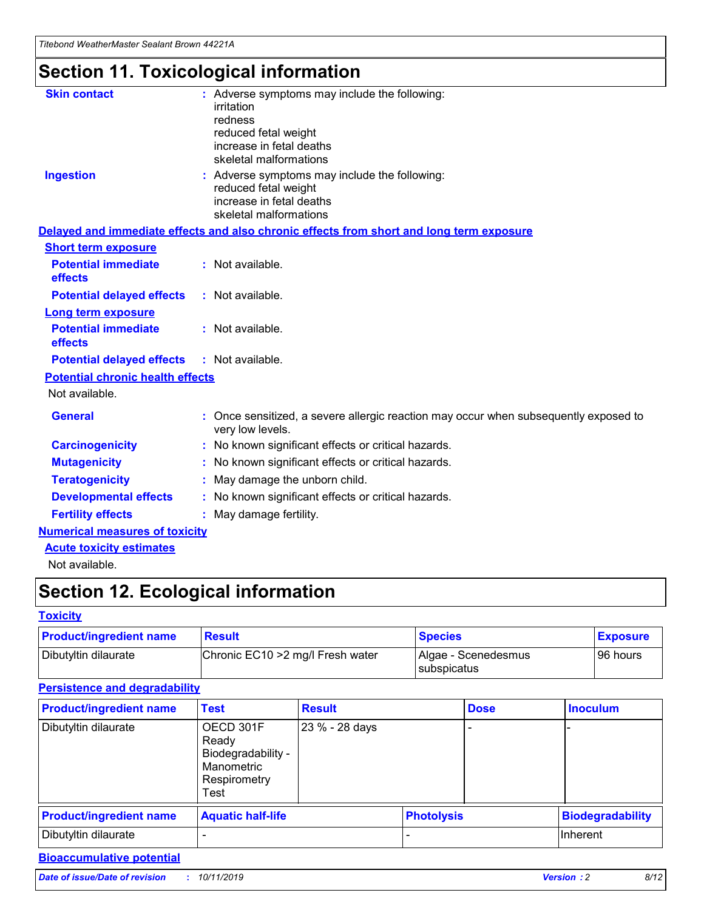## **Section 11. Toxicological information**

| <b>Skin contact</b>                     | : Adverse symptoms may include the following:<br>irritation<br>redness<br>reduced fetal weight<br>increase in fetal deaths<br>skeletal malformations |
|-----------------------------------------|------------------------------------------------------------------------------------------------------------------------------------------------------|
| <b>Ingestion</b>                        | : Adverse symptoms may include the following:<br>reduced fetal weight<br>increase in fetal deaths<br>skeletal malformations                          |
|                                         | Delayed and immediate effects and also chronic effects from short and long term exposure                                                             |
| <b>Short term exposure</b>              |                                                                                                                                                      |
| <b>Potential immediate</b><br>effects   | : Not available.                                                                                                                                     |
| <b>Potential delayed effects</b>        | : Not available.                                                                                                                                     |
| <b>Long term exposure</b>               |                                                                                                                                                      |
| <b>Potential immediate</b><br>effects   | : Not available.                                                                                                                                     |
| <b>Potential delayed effects</b>        | : Not available.                                                                                                                                     |
| <b>Potential chronic health effects</b> |                                                                                                                                                      |
| Not available.                          |                                                                                                                                                      |
| <b>General</b>                          | : Once sensitized, a severe allergic reaction may occur when subsequently exposed to<br>very low levels.                                             |
| <b>Carcinogenicity</b>                  | : No known significant effects or critical hazards.                                                                                                  |
| <b>Mutagenicity</b>                     | No known significant effects or critical hazards.                                                                                                    |
| <b>Teratogenicity</b>                   | May damage the unborn child.                                                                                                                         |
| <b>Developmental effects</b>            | No known significant effects or critical hazards.                                                                                                    |
| <b>Fertility effects</b>                | : May damage fertility.                                                                                                                              |
| <b>Numerical measures of toxicity</b>   |                                                                                                                                                      |
| <b>Acute toxicity estimates</b>         |                                                                                                                                                      |
|                                         |                                                                                                                                                      |

Not available.

## **Section 12. Ecological information**

#### **Toxicity**

| <b>Product/ingredient name</b> | <b>Result</b>                     | <b>Species</b>                       | <b>Exposure</b> |
|--------------------------------|-----------------------------------|--------------------------------------|-----------------|
| Dibutyltin dilaurate           | Chronic EC10 > 2 mg/l Fresh water | Algae - Scenedesmus<br>I subspicatus | l 96 hours      |

#### **Persistence and degradability**

| <b>Product/ingredient name</b> | <b>Test</b>                                                                    | <b>Result</b>  |                   | <b>Dose</b> | <b>Inoculum</b>         |
|--------------------------------|--------------------------------------------------------------------------------|----------------|-------------------|-------------|-------------------------|
| Dibutyltin dilaurate           | OECD 301F<br>Ready<br>Biodegradability -<br>Manometric<br>Respirometry<br>Test | 23 % - 28 days |                   |             |                         |
| <b>Product/ingredient name</b> | <b>Aquatic half-life</b>                                                       |                | <b>Photolysis</b> |             | <b>Biodegradability</b> |
| Dibutyltin dilaurate           |                                                                                |                |                   |             | Inherent                |

#### **Bioaccumulative potential**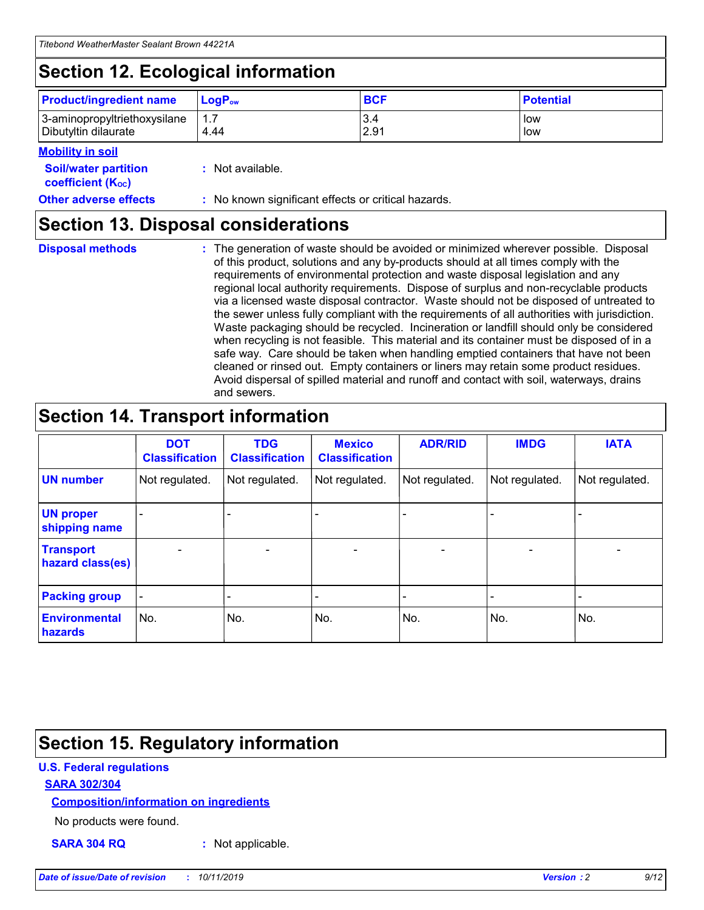## **Section 12. Ecological information**

| <b>Product/ingredient name</b> | $LoaPow$ | <b>BCF</b> | <b>Potential</b> |
|--------------------------------|----------|------------|------------------|
| 3-aminopropyltriethoxysilane   | 1.7      | 3.4        | low              |
| Dibutyltin dilaurate           | 4.44     | 2.91       | low              |

#### **Mobility in soil**

| <b>Soil/water partition</b><br>coefficient (K <sub>oc</sub> ) | : Not available.                                    |
|---------------------------------------------------------------|-----------------------------------------------------|
| <b>Other adverse effects</b>                                  | : No known significant effects or critical hazards. |

### **Section 13. Disposal considerations**

**Disposal methods :**

The generation of waste should be avoided or minimized wherever possible. Disposal of this product, solutions and any by-products should at all times comply with the requirements of environmental protection and waste disposal legislation and any regional local authority requirements. Dispose of surplus and non-recyclable products via a licensed waste disposal contractor. Waste should not be disposed of untreated to the sewer unless fully compliant with the requirements of all authorities with jurisdiction. Waste packaging should be recycled. Incineration or landfill should only be considered when recycling is not feasible. This material and its container must be disposed of in a safe way. Care should be taken when handling emptied containers that have not been cleaned or rinsed out. Empty containers or liners may retain some product residues. Avoid dispersal of spilled material and runoff and contact with soil, waterways, drains and sewers.

## **Section 14. Transport information**

|                                      | <b>DOT</b><br><b>Classification</b> | <b>TDG</b><br><b>Classification</b> | <b>Mexico</b><br><b>Classification</b> | <b>ADR/RID</b> | <b>IMDG</b>              | <b>IATA</b>              |
|--------------------------------------|-------------------------------------|-------------------------------------|----------------------------------------|----------------|--------------------------|--------------------------|
| <b>UN number</b>                     | Not regulated.                      | Not regulated.                      | Not regulated.                         | Not regulated. | Not regulated.           | Not regulated.           |
| <b>UN proper</b><br>shipping name    | $\blacksquare$                      |                                     |                                        |                |                          |                          |
| <b>Transport</b><br>hazard class(es) | $\blacksquare$                      | $\overline{\phantom{a}}$            | $\blacksquare$                         | $\blacksquare$ | $\overline{\phantom{a}}$ | $\overline{\phantom{0}}$ |
| <b>Packing group</b>                 | $\overline{\phantom{a}}$            | $\overline{\phantom{0}}$            | $\overline{\phantom{a}}$               | -              | $\overline{\phantom{0}}$ | $\overline{\phantom{a}}$ |
| <b>Environmental</b><br>hazards      | No.                                 | No.                                 | No.                                    | No.            | No.                      | No.                      |

## **Section 15. Regulatory information**

#### **U.S. Federal regulations**

#### **SARA 302/304**

#### **Composition/information on ingredients**

No products were found.

**SARA 304 RQ :** Not applicable.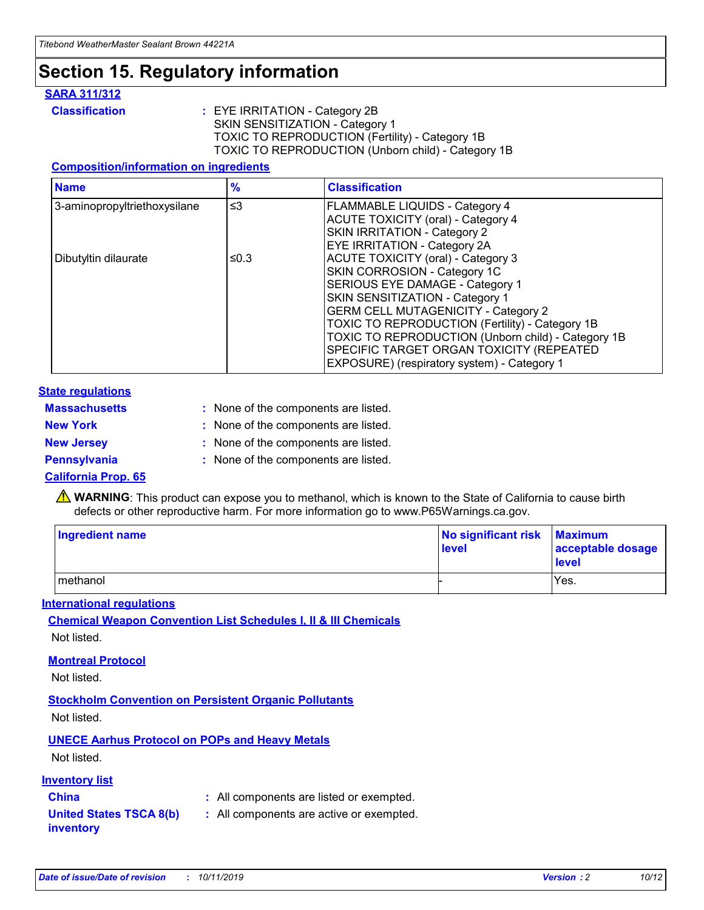## **Section 15. Regulatory information**

#### **SARA 311/312**

**Classification :** EYE IRRITATION - Category 2B SKIN SENSITIZATION - Category 1 TOXIC TO REPRODUCTION (Fertility) - Category 1B TOXIC TO REPRODUCTION (Unborn child) - Category 1B

#### **Composition/information on ingredients**

| <b>Name</b>                  | $\frac{9}{6}$ | <b>Classification</b>                                                                                                                                                                                                                                                                                                                  |  |
|------------------------------|---------------|----------------------------------------------------------------------------------------------------------------------------------------------------------------------------------------------------------------------------------------------------------------------------------------------------------------------------------------|--|
| 3-aminopropyltriethoxysilane | $\leq$ 3      | <b>FLAMMABLE LIQUIDS - Category 4</b><br><b>ACUTE TOXICITY (oral) - Category 4</b><br>SKIN IRRITATION - Category 2                                                                                                                                                                                                                     |  |
| Dibutyltin dilaurate         | ≤0.3          | EYE IRRITATION - Category 2A<br><b>ACUTE TOXICITY (oral) - Category 3</b><br>SKIN CORROSION - Category 1C<br>SERIOUS EYE DAMAGE - Category 1<br>SKIN SENSITIZATION - Category 1<br><b>GERM CELL MUTAGENICITY - Category 2</b><br>TOXIC TO REPRODUCTION (Fertility) - Category 1B<br>TOXIC TO REPRODUCTION (Unborn child) - Category 1B |  |
|                              |               | SPECIFIC TARGET ORGAN TOXICITY (REPEATED<br>EXPOSURE) (respiratory system) - Category 1                                                                                                                                                                                                                                                |  |

#### **State regulations**

| <b>Massachusetts</b> | : None of the components are listed. |
|----------------------|--------------------------------------|
| <b>New York</b>      | : None of the components are listed. |
| <b>New Jersey</b>    | : None of the components are listed. |
| <b>Pennsylvania</b>  | : None of the components are listed. |

#### **California Prop. 65**

**A** WARNING: This product can expose you to methanol, which is known to the State of California to cause birth defects or other reproductive harm. For more information go to www.P65Warnings.ca.gov.

| <b>Ingredient name</b> | No significant risk Maximum<br>level | acceptable dosage<br>level |
|------------------------|--------------------------------------|----------------------------|
| methanol               |                                      | Yes.                       |

#### **International regulations**

**Chemical Weapon Convention List Schedules I, II & III Chemicals** Not listed.

#### **Montreal Protocol**

Not listed.

**Stockholm Convention on Persistent Organic Pollutants**

Not listed.

#### **UNECE Aarhus Protocol on POPs and Heavy Metals**

Not listed.

#### **Inventory list**

### **China :** All components are listed or exempted.

**United States TSCA 8(b) inventory :** All components are active or exempted.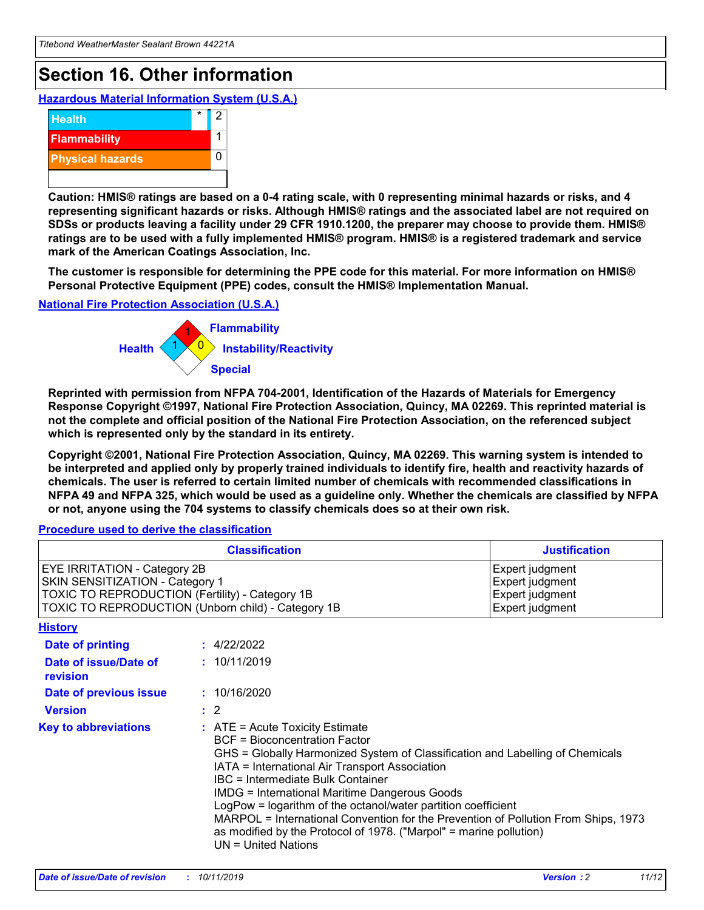## **Section 16. Other information**

**Hazardous Material Information System (U.S.A.)**



**Caution: HMIS® ratings are based on a 0-4 rating scale, with 0 representing minimal hazards or risks, and 4 representing significant hazards or risks. Although HMIS® ratings and the associated label are not required on SDSs or products leaving a facility under 29 CFR 1910.1200, the preparer may choose to provide them. HMIS® ratings are to be used with a fully implemented HMIS® program. HMIS® is a registered trademark and service mark of the American Coatings Association, Inc.**

**The customer is responsible for determining the PPE code for this material. For more information on HMIS® Personal Protective Equipment (PPE) codes, consult the HMIS® Implementation Manual.**

#### **National Fire Protection Association (U.S.A.)**



**Reprinted with permission from NFPA 704-2001, Identification of the Hazards of Materials for Emergency Response Copyright ©1997, National Fire Protection Association, Quincy, MA 02269. This reprinted material is not the complete and official position of the National Fire Protection Association, on the referenced subject which is represented only by the standard in its entirety.**

**Copyright ©2001, National Fire Protection Association, Quincy, MA 02269. This warning system is intended to be interpreted and applied only by properly trained individuals to identify fire, health and reactivity hazards of chemicals. The user is referred to certain limited number of chemicals with recommended classifications in NFPA 49 and NFPA 325, which would be used as a guideline only. Whether the chemicals are classified by NFPA or not, anyone using the 704 systems to classify chemicals does so at their own risk.**

#### **Procedure used to derive the classification**

| <b>Classification</b>                                                                                                                                                                  |                                                                                                                                                                                                                                                                   | <b>Justification</b>                                                                                                                                                                                                                                                                                       |  |
|----------------------------------------------------------------------------------------------------------------------------------------------------------------------------------------|-------------------------------------------------------------------------------------------------------------------------------------------------------------------------------------------------------------------------------------------------------------------|------------------------------------------------------------------------------------------------------------------------------------------------------------------------------------------------------------------------------------------------------------------------------------------------------------|--|
| <b>EYE IRRITATION - Category 2B</b><br>SKIN SENSITIZATION - Category 1<br><b>TOXIC TO REPRODUCTION (Fertility) - Category 1B</b><br>TOXIC TO REPRODUCTION (Unborn child) - Category 1B |                                                                                                                                                                                                                                                                   | Expert judgment<br>Expert judgment<br>Expert judgment<br>Expert judgment                                                                                                                                                                                                                                   |  |
| <b>History</b>                                                                                                                                                                         |                                                                                                                                                                                                                                                                   |                                                                                                                                                                                                                                                                                                            |  |
| Date of printing                                                                                                                                                                       | : 4/22/2022                                                                                                                                                                                                                                                       |                                                                                                                                                                                                                                                                                                            |  |
| Date of issue/Date of<br>revision                                                                                                                                                      | : 10/11/2019                                                                                                                                                                                                                                                      |                                                                                                                                                                                                                                                                                                            |  |
| Date of previous issue                                                                                                                                                                 | : 10/16/2020                                                                                                                                                                                                                                                      |                                                                                                                                                                                                                                                                                                            |  |
| <b>Version</b>                                                                                                                                                                         | $\therefore$ 2                                                                                                                                                                                                                                                    |                                                                                                                                                                                                                                                                                                            |  |
| <b>Key to abbreviations</b>                                                                                                                                                            | $\therefore$ ATE = Acute Toxicity Estimate<br><b>BCF</b> = Bioconcentration Factor<br>IATA = International Air Transport Association<br><b>IBC</b> = Intermediate Bulk Container<br><b>IMDG = International Maritime Dangerous Goods</b><br>$UN = United Nations$ | GHS = Globally Harmonized System of Classification and Labelling of Chemicals<br>LogPow = logarithm of the octanol/water partition coefficient<br>MARPOL = International Convention for the Prevention of Pollution From Ships, 1973<br>as modified by the Protocol of 1978. ("Marpol" = marine pollution) |  |